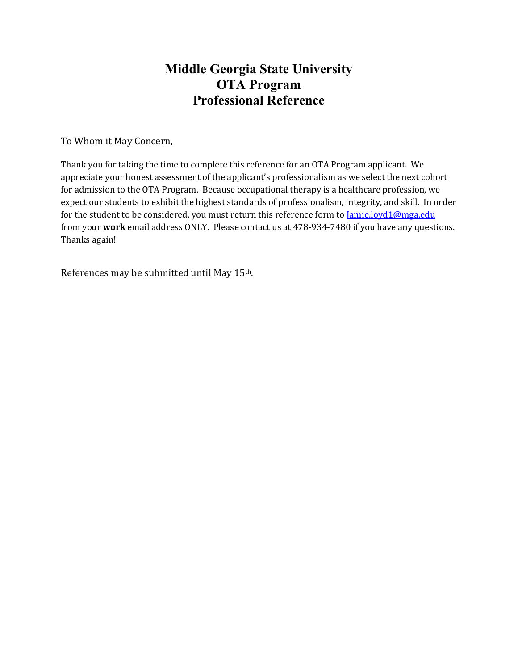## **Middle Georgia State University OTA Program Professional Reference**

To Whom it May Concern,

Thank you for taking the time to complete this reference for an OTA Program applicant. We appreciate your honest assessment of the applicant's professionalism as we select the next cohort for admission to the OTA Program. Because occupational therapy is a healthcare profession, we expect our students to exhibit the highest standards of professionalism, integrity, and skill. In order for the student to be considered, you must return this reference form to *Jamie.loyd1@mga.edu* from your **work** email address ONLY. Please contact us at 478-934-7480 if you have any questions. Thanks again!

References may be submitted until May 15th.